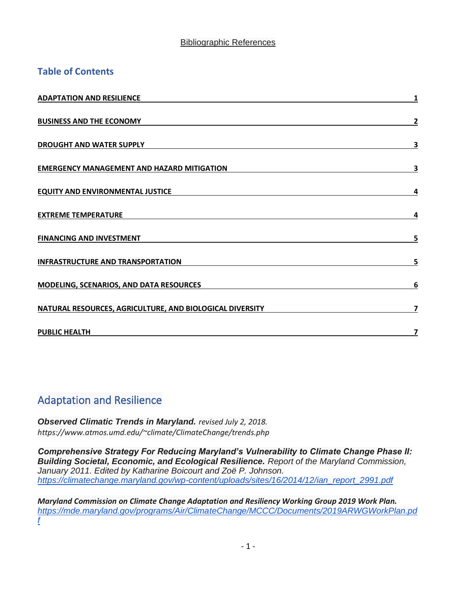#### Bibliographic References

### **Table of Contents**

| <b>ADAPTATION AND RESILIENCE</b>                         | 1 |
|----------------------------------------------------------|---|
| <b>BUSINESS AND THE ECONOMY</b>                          | 2 |
| <b>DROUGHT AND WATER SUPPLY</b>                          | 3 |
| <b>EMERGENCY MANAGEMENT AND HAZARD MITIGATION</b>        | 3 |
| <b>EQUITY AND ENVIRONMENTAL JUSTICE</b>                  | 4 |
| <b>EXTREME TEMPERATURE</b>                               | 4 |
| <b>FINANCING AND INVESTMENT</b>                          | 5 |
| <b>INFRASTRUCTURE AND TRANSPORTATION</b>                 | 5 |
| <b>MODELING, SCENARIOS, AND DATA RESOURCES</b>           | 6 |
| NATURAL RESOURCES, AGRICULTURE, AND BIOLOGICAL DIVERSITY | 7 |
| <b>PUBLIC HEALTH</b>                                     |   |

## <span id="page-0-0"></span>Adaptation and Resilience

*Observed Climatic Trends in Maryland. revised July 2, 2018. https://www.atmos.umd.edu/~climate/ClimateChange/trends.php*

*Comprehensive Strategy For Reducing Maryland's Vulnerability to Climate Change Phase II: Building Societal, Economic, and Ecological Resilience. Report of the Maryland Commission, January 2011. Edited by Katharine Boicourt and Zoë P. Johnson[.](https://climatechange.maryland.gov/wp-content/uploads/sites/16/2014/12/ian_report_2991.pdf) [https://climatechange.maryland.gov/wp-content/uploads/sites/16/2014/12/ian\\_report\\_2991.pdf](https://climatechange.maryland.gov/wp-content/uploads/sites/16/2014/12/ian_report_2991.pdf)*

*Maryland Commission on Climate Change Adaptation and Resiliency Working Group 2019 Work Plan[.](https://mde.maryland.gov/programs/Air/ClimateChange/MCCC/Documents/2019ARWGWorkPlan.pdf) [https://mde.maryland.gov/programs/Air/ClimateChange/MCCC/Documents/2019ARWGWorkPlan.pd](https://mde.maryland.gov/programs/Air/ClimateChange/MCCC/Documents/2019ARWGWorkPlan.pdf) [f](https://mde.maryland.gov/programs/Air/ClimateChange/MCCC/Documents/2019ARWGWorkPlan.pdf)*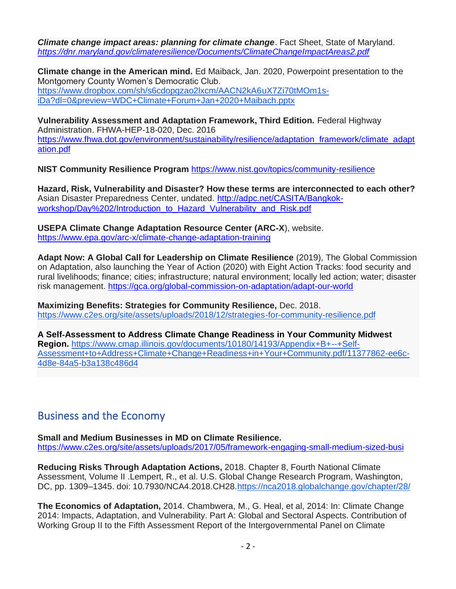*Climate change impact areas: planning for climate change*. Fact Sheet, State of Maryland. *<https://dnr.maryland.gov/climateresilience/Documents/ClimateChangeImpactAreas2.pdf>*

**Climate change in the American mind.** Ed Maiback, Jan. 2020, Powerpoint presentation to the Montgomery County Women's Democratic Club. [https://www.dropbox.com/sh/s6cdopqzao2lxcm/AACN2kA6uX7Zi70tMOm1s](https://www.dropbox.com/sh/s6cdopqzao2lxcm/AACN2kA6uX7Zi70tMOm1s-iDa?dl=0&preview=WDC+Climate+Forum+Jan+2020+Maibach.pptx)[iDa?dl=0&preview=WDC+Climate+Forum+Jan+2020+Maibach.pptx](https://www.dropbox.com/sh/s6cdopqzao2lxcm/AACN2kA6uX7Zi70tMOm1s-iDa?dl=0&preview=WDC+Climate+Forum+Jan+2020+Maibach.pptx)

**Vulnerability Assessment and Adaptation Framework, Third Edition.** Federal Highway Administration. FHWA-HEP-18-020, Dec. 2016 [https://www.fhwa.dot.gov/environment/sustainability/resilience/adaptation\\_framework/climate\\_adapt](https://www.fhwa.dot.gov/environment/sustainability/resilience/adaptation_framework/climate_adaptation.pdf) [ation.pdf](https://www.fhwa.dot.gov/environment/sustainability/resilience/adaptation_framework/climate_adaptation.pdf)

**NIST Community Resilience Program** <https://www.nist.gov/topics/community-resilience>

**Hazard, Risk, Vulnerability and Disaster? How these terms are interconnected to each other?**  Asian Disaster Preparedness Center, undated. [http://adpc.net/CASITA/Bangkok](http://adpc.net/CASITA/Bangkok-workshop/Day%202/Introduction_to_Hazard_Vulnerability_and_Risk.pdf)[workshop/Day%202/Introduction\\_to\\_Hazard\\_Vulnerability\\_and\\_Risk.pdf](http://adpc.net/CASITA/Bangkok-workshop/Day%202/Introduction_to_Hazard_Vulnerability_and_Risk.pdf)

**USEPA Climate Change Adaptation Resource Center (ARC-X**), website. <https://www.epa.gov/arc-x/climate-change-adaptation-training>

**Adapt Now: A Global Call for Leadership on Climate Resilience** (2019), The Global Commission on Adaptation, also launching the Year of Action (2020) with Eight Action Tracks: food security and rural livelihoods; finance; cities; infrastructure; natural environment; locally led action; water; disaster risk management.<https://gca.org/global-commission-on-adaptation/adapt-our-world>

**Maximizing Benefits: Strategies for Community Resilience,** Dec. 2018. <https://www.c2es.org/site/assets/uploads/2018/12/strategies-for-community-resilience.pdf>

**A Self**‐**Assessment to Address Climate Change Readiness in Your Community Midwest Region[.](https://www.cmap.illinois.gov/documents/10180/14193/Appendix+B+--+Self-Assessment+to+Address+Climate+Change+Readiness+in+Your+Community.pdf/11377862-ee6c-4d8e-84a5-b3a138c486d4)** [https://www.cmap.illinois.gov/documents/10180/14193/Appendix+B+--+Self-](https://www.cmap.illinois.gov/documents/10180/14193/Appendix+B+--+Self-Assessment+to+Address+Climate+Change+Readiness+in+Your+Community.pdf/11377862-ee6c-4d8e-84a5-b3a138c486d4)[Assessment+to+Address+Climate+Change+Readiness+in+Your+Community.pdf/11377862-ee6c-](https://www.cmap.illinois.gov/documents/10180/14193/Appendix+B+--+Self-Assessment+to+Address+Climate+Change+Readiness+in+Your+Community.pdf/11377862-ee6c-4d8e-84a5-b3a138c486d4)[4d8e-84a5-b3a138c486d4](https://www.cmap.illinois.gov/documents/10180/14193/Appendix+B+--+Self-Assessment+to+Address+Climate+Change+Readiness+in+Your+Community.pdf/11377862-ee6c-4d8e-84a5-b3a138c486d4)

## <span id="page-1-0"></span>Business and the Economy

**Small and Medium Businesses in MD on Climate Resilience.**  [https://www.c2es.org/site/assets/uploads/2017/05/framework-engaging-small-medium-sized-busi](https://www.c2es.org/site/assets/uploads/2017/05/framework-engaging-small-medium-sized-business-maryland-climate-resilience.pdf)

**Reducing Risks Through Adaptation Actions,** 2018. Chapter 8, Fourth National Climate Assessment, Volume II .Lempert, R., et al. U.S. Global Change Research Program, Washington, DC, pp. 1309–1345. doi: 10.7930/NCA4.2018.CH28[.https://nca2018.globalchange.gov/chapter/28/](https://nca2018.globalchange.gov/chapter/28/)

**The Economics of Adaptation,** 2014. Chambwera, M., G. Heal, et al, 2014: In: Climate Change 2014: Impacts, Adaptation, and Vulnerability. Part A: Global and Sectoral Aspects. Contribution of Working Group II to the Fifth Assessment Report of the Intergovernmental Panel on Climate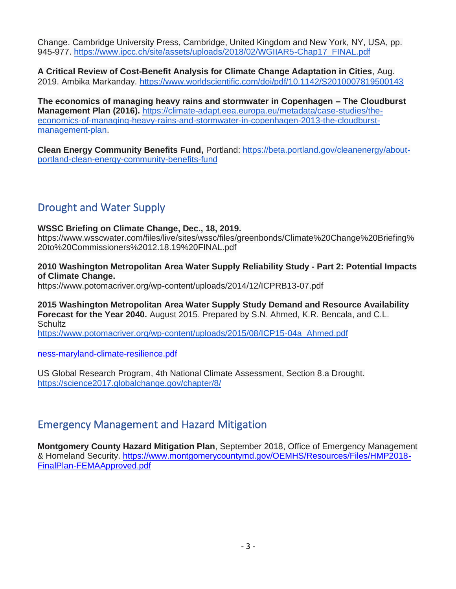Change. Cambridge University Press, Cambridge, United Kingdom and New York, NY, USA, pp. 945-977. [https://www.ipcc.ch/site/assets/uploads/2018/02/WGIIAR5-Chap17\\_FINAL.pdf](https://www.ipcc.ch/site/assets/uploads/2018/02/WGIIAR5-Chap17_FINAL.pdf)

**A Critical Review of Cost-Benefit Analysis for Climate Change Adaptation in Cities**, Aug. 2019. Ambika Markanday.<https://www.worldscientific.com/doi/pdf/10.1142/S2010007819500143>

**The economics of managing heavy rains and stormwater in Copenhagen – The Cloudburst Management Plan (2016).** [https://climate-adapt.eea.europa.eu/metadata/case-studies/the](https://climate-adapt.eea.europa.eu/metadata/case-studies/the-economics-of-managing-heavy-rains-and-stormwater-in-copenhagen-2013-the-cloudburst-management-plan)[economics-of-managing-heavy-rains-and-stormwater-in-copenhagen-2013-the-cloudburst](https://climate-adapt.eea.europa.eu/metadata/case-studies/the-economics-of-managing-heavy-rains-and-stormwater-in-copenhagen-2013-the-cloudburst-management-plan)[management-plan.](https://climate-adapt.eea.europa.eu/metadata/case-studies/the-economics-of-managing-heavy-rains-and-stormwater-in-copenhagen-2013-the-cloudburst-management-plan)

**Clean Energy Community Benefits Fund,** Portland: [https://beta.portland.gov/cleanenergy/about](https://beta.portland.gov/cleanenergy/about-portland-clean-energy-community-benefits-fund)[portland-clean-energy-community-benefits-fund](https://beta.portland.gov/cleanenergy/about-portland-clean-energy-community-benefits-fund)

# <span id="page-2-0"></span>Drought and Water Supply

#### **WSSC Briefing on Climate Change, Dec., 18, 2019[.](https://www.wsscwater.com/files/live/sites/wssc/files/greenbonds/Climate%20Change%20Briefing%20to%20Commissioners%2012.18.19%20FINAL.pdf)**

[https://www.wsscwater.com/files/live/sites/wssc/files/greenbonds/Climate%20Change%20Briefing%](https://www.wsscwater.com/files/live/sites/wssc/files/greenbonds/Climate%20Change%20Briefing%20to%20Commissioners%2012.18.19%20FINAL.pdf) [20to%20Commissioners%2012.18.19%20FINAL.pdf](https://www.wsscwater.com/files/live/sites/wssc/files/greenbonds/Climate%20Change%20Briefing%20to%20Commissioners%2012.18.19%20FINAL.pdf)

#### **2010 Washington Metropolitan Area Water Supply Reliability Study - Part 2: Potential Impacts of Climate Change.**

<https://www.potomacriver.org/wp-content/uploads/2014/12/ICPRB13-07.pdf>

**2015 Washington Metropolitan Area Water Supply Study Demand and Resource Availability Forecast for the Year 2040.** August 2015. Prepared by S.N. Ahmed, K.R. Bencala, and C.L. **Schultz** 

[https://www.potomacriver.org/wp-content/uploads/2015/08/ICP15-04a\\_Ahmed.pdf](https://www.potomacriver.org/wp-content/uploads/2015/08/ICP15-04a_Ahmed.pdf)

[ness-maryland-climate-resilience.pdf](https://www.c2es.org/site/assets/uploads/2017/05/framework-engaging-small-medium-sized-business-maryland-climate-resilience.pdf)

US Global Research Program, 4th National Climate Assessment, Section 8.a Drought. <https://science2017.globalchange.gov/chapter/8/>

### <span id="page-2-1"></span>Emergency Management and Hazard Mitigation

**Montgomery County Hazard Mitigation Plan**, September 2018, Office of Emergency Management & Homeland Security. [https://www.montgomerycountymd.gov/OEMHS/Resources/Files/HMP2018-](https://www.montgomerycountymd.gov/OEMHS/Resources/Files/HMP2018-FinalPlan-FEMAApproved.pdf) [FinalPlan-FEMAApproved.pdf](https://www.montgomerycountymd.gov/OEMHS/Resources/Files/HMP2018-FinalPlan-FEMAApproved.pdf)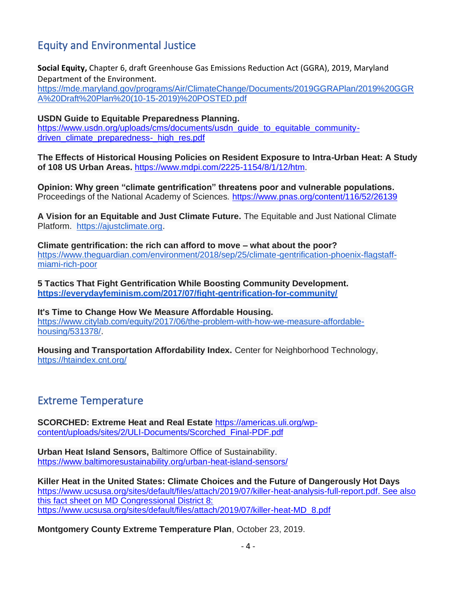# <span id="page-3-0"></span>Equity and Environmental Justice

**Social Equity,** Chapter 6, draft Greenhouse Gas Emissions Reduction Act (GGRA), 2019, Maryland Department of the Environment.

[https://mde.maryland.gov/programs/Air/ClimateChange/Documents/2019GGRAPlan/2019%20GGR](https://mde.maryland.gov/programs/Air/ClimateChange/Documents/2019GGRAPlan/2019%20GGRA%20Draft%20Plan%20(10-15-2019)%20POSTED.pdf) [A%20Draft%20Plan%20\(10-15-2019\)%20POSTED.pdf](https://mde.maryland.gov/programs/Air/ClimateChange/Documents/2019GGRAPlan/2019%20GGRA%20Draft%20Plan%20(10-15-2019)%20POSTED.pdf)

**USDN Guide to Equitable Preparedness Planning.**  [https://www.usdn.org/uploads/cms/documents/usdn\\_guide\\_to\\_equitable\\_community](https://www.usdn.org/uploads/cms/documents/usdn_guide_to_equitable_community-driven_climate_preparedness-_high_res.pdf)[driven\\_climate\\_preparedness-\\_high\\_res.pdf](https://www.usdn.org/uploads/cms/documents/usdn_guide_to_equitable_community-driven_climate_preparedness-_high_res.pdf)

**The Effects of Historical Housing Policies on Resident Exposure to Intra-Urban Heat: A Study of 108 US Urban Areas.** [https://www.mdpi.com/2225-1154/8/1/12/htm.](https://www.mdpi.com/2225-1154/8/1/12/htm)

**Opinion: Why green "climate gentrification" threatens poor and vulnerable populations.**  Proceedings of the National Academy of Sciences.<https://www.pnas.org/content/116/52/26139>

**A Vision for an Equitable and Just Climate Future.** The Equitable and Just National Climate Platform. [https://ajustclimate.org.](https://ajustclimate.org/)

**Climate gentrification: the rich can afford to move – what about the poor?** [https://www.theguardian.com/environment/2018/sep/25/climate-gentrification-phoenix-flagstaff](https://www.theguardian.com/environment/2018/sep/25/climate-gentrification-phoenix-flagstaff-miami-rich-poor)[miami-rich-poor](https://www.theguardian.com/environment/2018/sep/25/climate-gentrification-phoenix-flagstaff-miami-rich-poor)

**5 Tactics That Fight Gentrification While Boosting Community Development. <https://everydayfeminism.com/2017/07/fight-gentrification-for-community/>**

**It's Time to Change How We Measure Affordable Housing.**  [https://www.citylab.com/equity/2017/06/the-problem-with-how-we-measure-affordable](https://www.citylab.com/equity/2017/06/the-problem-with-how-we-measure-affordable-housing/531378/)[housing/531378/.](https://www.citylab.com/equity/2017/06/the-problem-with-how-we-measure-affordable-housing/531378/)

**Housing and Transportation Affordability Index.** Center for Neighborhood Technology, <https://htaindex.cnt.org/>

### <span id="page-3-1"></span>Extreme Temperature

**SCORCHED: Extreme Heat and Real Estate** [https://americas.uli.org/wp](https://americas.uli.org/wp-content/uploads/sites/2/ULI-Documents/Scorched_Final-PDF.pdf)[content/uploads/sites/2/ULI-Documents/Scorched\\_Final-PDF.pdf](https://americas.uli.org/wp-content/uploads/sites/2/ULI-Documents/Scorched_Final-PDF.pdf)

**Urban Heat Island Sensors,** Baltimore Office of Sustainability. <https://www.baltimoresustainability.org/urban-heat-island-sensors/>

**Killer Heat in the United States: Climate Choices and the Future of Dangerously Hot Days** [https://www.ucsusa.org/sites/default/files/attach/2019/07/killer-heat-analysis-full-report.pdf.](https://www.ucsusa.org/sites/default/files/attach/2019/07/killer-heat-analysis-full-report.pdf) See also this fact sheet on MD Congressional District 8: https://www.ucsusa.org/sites/default/files/attach/2019/07/killer-heat-MD\_8.pdf

**Montgomery County Extreme Temperature Plan**, October 23, 2019.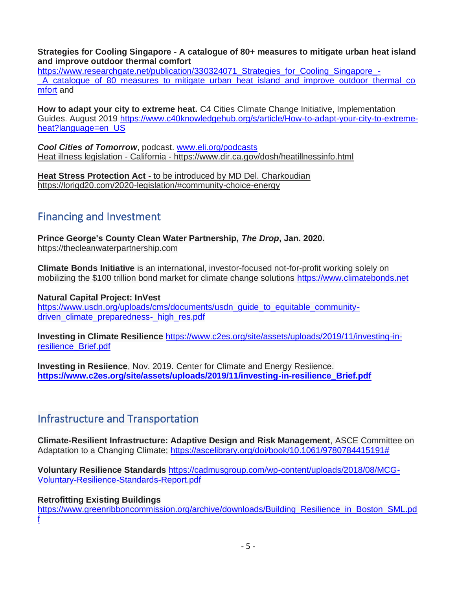**Strategies for Cooling Singapore - A catalogue of 80+ measures to mitigate urban heat island and improve outdoor thermal comfort** 

[https://www.researchgate.net/publication/330324071\\_Strategies\\_for\\_Cooling\\_Singapore\\_-](https://www.researchgate.net/publication/330324071_Strategies_for_Cooling_Singapore_-_A_catalogue_of_80_measures_to_mitigate_urban_heat_island_and_improve_outdoor_thermal_comfort) A catalogue of 80 measures to mitigate urban heat island and improve outdoor thermal co [mfort](https://www.researchgate.net/publication/330324071_Strategies_for_Cooling_Singapore_-_A_catalogue_of_80_measures_to_mitigate_urban_heat_island_and_improve_outdoor_thermal_comfort) and

**How to adapt your city to extreme heat.** C4 Cities Climate Change Initiative, Implementation Guides. August 2019 [https://www.c40knowledgehub.org/s/article/How-to-adapt-your-city-to-extreme](https://www.c40knowledgehub.org/s/article/How-to-adapt-your-city-to-extreme-heat?language=en_US)[heat?language=en\\_US](https://www.c40knowledgehub.org/s/article/How-to-adapt-your-city-to-extreme-heat?language=en_US)

*Cool Cities of Tomorrow*, podcast. [www.eli.org/podcasts](http://www.eli.org/podcasts) Heat illness legislation - California - https://www.dir.ca.gov/dosh/heatillnessinfo.html

**Heat Stress Protection Act** - to be introduced by MD Del. Charkoudian https://lorigd20.com/2020-legislation/#community-choice-energy

### <span id="page-4-0"></span>Financing and Investment

**Prince George's County Clean Water Partnership,** *The Drop***, Jan. 2020.**  https://thecleanwaterpartnership.com

**Climate Bonds Initiative** is an international, investor-focused not-for-profit working solely on mobilizing the \$100 trillion bond market for climate change solutions [https://www.climatebonds.net](https://www.climatebonds.net/)

**Natural Capital Project: InVest**  [https://www.usdn.org/uploads/cms/documents/usdn\\_guide\\_to\\_equitable\\_community](https://www.usdn.org/uploads/cms/documents/usdn_guide_to_equitable_community-driven_climate_preparedness-_high_res.pdf)driven climate preparedness-\_high\_res.pdf

**Investing in Climate Resilience** [https://www.c2es.org/site/assets/uploads/2019/11/investing-in](https://www.c2es.org/site/assets/uploads/2019/11/investing-in-resilience_Brief.pdf)[resilience\\_Brief.pdf](https://www.c2es.org/site/assets/uploads/2019/11/investing-in-resilience_Brief.pdf)

**Investing in Resiience**, Nov. 2019. Center for Climate and Energy Resiience. **[https://www.c2es.org/site/assets/uploads/2019/11/investing-in-resilience\\_Brief.pdf](https://www.c2es.org/site/assets/uploads/2019/11/investing-in-resilience_Brief.pdf)**

### <span id="page-4-1"></span>Infrastructure and Transportation

**Climate-Resilient Infrastructure: Adaptive Design and Risk Management**, ASCE Committee on Adaptation to a Changing Climate; [https://ascelibrary.org/doi/book/10.1061/9780784415191#](https://ascelibrary.org/doi/book/10.1061/9780784415191)

**Voluntary Resilience Standards** [https://cadmusgroup.com/wp-content/uploads/2018/08/MCG-](https://cadmusgroup.com/wp-content/uploads/2018/08/MCG-Voluntary-Resilience-Standards-Report.pdf)[Voluntary-Resilience-Standards-Report.pdf](https://cadmusgroup.com/wp-content/uploads/2018/08/MCG-Voluntary-Resilience-Standards-Report.pdf)

#### **Retrofitting Existing Buildings**

[https://www.greenribboncommission.org/archive/downloads/Building\\_Resilience\\_in\\_Boston\\_SML.pd](https://www.greenribboncommission.org/archive/downloads/Building_Resilience_in_Boston_SML.pdf) [f](https://www.greenribboncommission.org/archive/downloads/Building_Resilience_in_Boston_SML.pdf)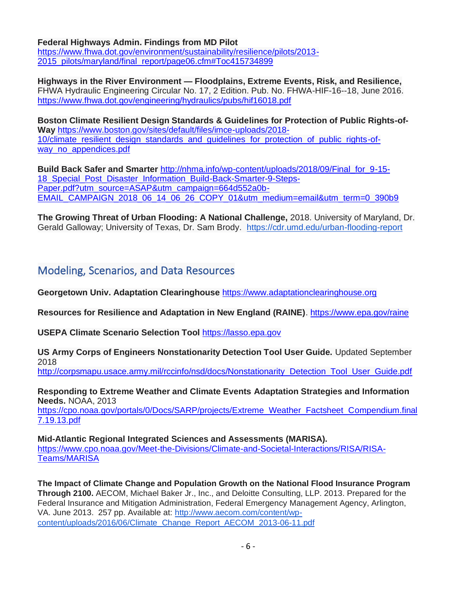**Federal Highways Admin. Findings from MD Pilot** 

[https://www.fhwa.dot.gov/environment/sustainability/resilience/pilots/2013-](https://www.fhwa.dot.gov/environment/sustainability/resilience/pilots/2013-2015_pilots/maryland/final_report/page06.cfm#Toc415734899) [2015\\_pilots/maryland/final\\_report/page06.cfm#Toc415734899](https://www.fhwa.dot.gov/environment/sustainability/resilience/pilots/2013-2015_pilots/maryland/final_report/page06.cfm#Toc415734899)

**Highways in the River Environment — Floodplains, Extreme Events, Risk, and Resilience,** FHWA Hydraulic Engineering Circular No. 17, 2 Edition. Pub. No. FHWA-HIF-16--18, June 2016. <https://www.fhwa.dot.gov/engineering/hydraulics/pubs/hif16018.pdf>

**Boston Climate Resilient Design Standards & Guidelines for Protection of Public Rights-of-Way** [https://www.boston.gov/sites/default/files/imce-uploads/2018-](https://www.boston.gov/sites/default/files/imce-uploads/2018-10/climate_resilient_design_standards_and_guidelines_for_protection_of_public_rights-of-way_no_appendices.pdf) 10/climate resilient design standards and quidelines for protection of public rights-ofway no appendices.pdf

**Build Back Safer and Smarter** [http://nhma.info/wp-content/uploads/2018/09/Final\\_for\\_9-15-](http://nhma.info/wp-content/uploads/2018/09/Final_for_9-15-18_Special_Post_Disaster_Information_Build-Back-Smarter-9-Steps-Paper.pdf?utm_source=ASAP&utm_campaign=664d552a0b-EMAIL_CAMPAIGN_2018_06_14_06_26_COPY_01&utm_medium=email&utm_term=0_390b9a48ee-664) [18\\_Special\\_Post\\_Disaster\\_Information\\_Build-Back-Smarter-9-Steps-](http://nhma.info/wp-content/uploads/2018/09/Final_for_9-15-18_Special_Post_Disaster_Information_Build-Back-Smarter-9-Steps-Paper.pdf?utm_source=ASAP&utm_campaign=664d552a0b-EMAIL_CAMPAIGN_2018_06_14_06_26_COPY_01&utm_medium=email&utm_term=0_390b9a48ee-664)[Paper.pdf?utm\\_source=ASAP&utm\\_campaign=664d552a0b-](http://nhma.info/wp-content/uploads/2018/09/Final_for_9-15-18_Special_Post_Disaster_Information_Build-Back-Smarter-9-Steps-Paper.pdf?utm_source=ASAP&utm_campaign=664d552a0b-EMAIL_CAMPAIGN_2018_06_14_06_26_COPY_01&utm_medium=email&utm_term=0_390b9a48ee-664)[EMAIL\\_CAMPAIGN\\_2018\\_06\\_14\\_06\\_26\\_COPY\\_01&utm\\_medium=email&utm\\_term=0\\_390b9](http://nhma.info/wp-content/uploads/2018/09/Final_for_9-15-18_Special_Post_Disaster_Information_Build-Back-Smarter-9-Steps-Paper.pdf?utm_source=ASAP&utm_campaign=664d552a0b-EMAIL_CAMPAIGN_2018_06_14_06_26_COPY_01&utm_medium=email&utm_term=0_390b9a48ee-664)

**The Growing Threat of Urban Flooding: A National Challenge,** 2018. University of Maryland, Dr. Gerald Galloway; University of Texas, Dr. Sam Brody. <https://cdr.umd.edu/urban-flooding-report>

### <span id="page-5-0"></span>Modeling, Scenarios, and Data Resources

**Georgetown Univ. Adaptation Clearinghouse** [https://www.adaptationclearinghouse.org](https://www.adaptationclearinghouse.org/)

**Resources for Resilience and Adaptation in New England (RAINE)**.<https://www.epa.gov/raine>

**USEPA Climate Scenario Selection Tool** [https://lasso.epa.gov](https://lasso.epa.gov/)

**US Army Corps of Engineers Nonstationarity Detection Tool User Guide.** Updated September 2018

[http://corpsmapu.usace.army.mil/rccinfo/nsd/docs/Nonstationarity\\_Detection\\_Tool\\_User\\_Guide.pdf](http://corpsmapu.usace.army.mil/rccinfo/nsd/docs/Nonstationarity_Detection_Tool_User_Guide.pdf)

**Responding to Extreme Weather and Climate Events Adaptation Strategies and Information Needs.** NOAA, 2013

[https://cpo.noaa.gov/portals/0/Docs/SARP/projects/Extreme\\_Weather\\_Factsheet\\_Compendium.final](https://cpo.noaa.gov/portals/0/Docs/SARP/projects/Extreme_Weather_Factsheet_Compendium.final7.19.13.pdf) [7.19.13.pdf](https://cpo.noaa.gov/portals/0/Docs/SARP/projects/Extreme_Weather_Factsheet_Compendium.final7.19.13.pdf)

**Mid-Atlantic Regional Integrated Sciences and Assessments (MARISA).**  [https://www.cpo.noaa.gov/Meet-the-Divisions/Climate-and-Societal-Interactions/RISA/RISA-](https://www.cpo.noaa.gov/Meet-the-Divisions/Climate-and-Societal-Interactions/RISA/RISA-Teams/MARISA)[Teams/MARISA](https://www.cpo.noaa.gov/Meet-the-Divisions/Climate-and-Societal-Interactions/RISA/RISA-Teams/MARISA)

**The Impact of Climate Change and Population Growth on the National Flood Insurance Program Through 2100.** AECOM, Michael Baker Jr., Inc., and Deloitte Consulting, LLP. 2013. Prepared for the Federal Insurance and Mitigation Administration, Federal Emergency Management Agency, Arlington, VA. June 2013. 257 pp. Available at: [http://www.aecom.com/content/wp](http://www.aecom.com/content/wp-content/uploads/2016/06/Climate_Change_Report_AECOM_2013-06-11.pdf)[content/uploads/2016/06/Climate\\_Change\\_Report\\_AECOM\\_2013-06-11.pdf](http://www.aecom.com/content/wp-content/uploads/2016/06/Climate_Change_Report_AECOM_2013-06-11.pdf)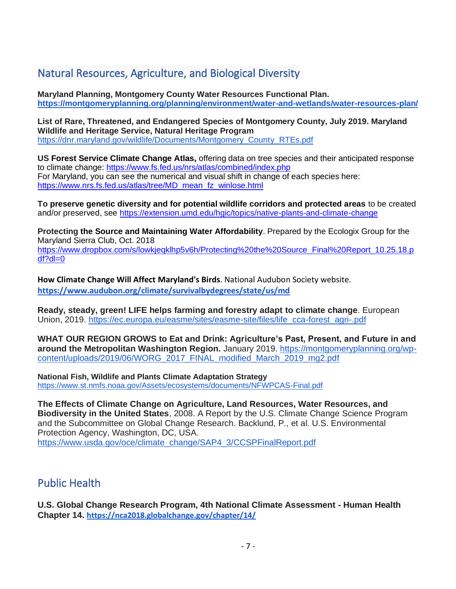# <span id="page-6-0"></span>Natural Resources, Agriculture, and Biological Diversity

**Maryland Planning, Montgomery County Water Resources Functional Plan. <https://montgomeryplanning.org/planning/environment/water-and-wetlands/water-resources-plan/>**

**List of Rare, Threatened, and Endangered Species of Montgomery County, July 2019. Maryland Wildlife and Heritage Service, Natural Heritage Program** [https://dnr.maryland.gov/wildlife/Documents/Montgomery\\_County\\_RTEs.pdf](https://dnr.maryland.gov/wildlife/Documents/Montgomery_County_RTEs.pdf)

**US Forest Service Climate Change Atlas,** offering data on tree species and their anticipated response to climate change:<https://www.fs.fed.us/nrs/atlas/combined/index.php> For Maryland, you can see the numerical and visual shift in change of each species here: [https://www.nrs.fs.fed.us/atlas/tree/MD\\_mean\\_fz\\_winlose.html](https://www.nrs.fs.fed.us/atlas/tree/MD_mean_fz_winlose.html)

**To preserve genetic diversity and for potential wildlife corridors and protected areas** to be created and/or preserved, see<https://extension.umd.edu/hgic/topics/native-plants-and-climate-change>

**Protecting the Source and Maintaining Water Affordability**. Prepared by the Ecologix Group for the Maryland Sierra Club, Oct. 2018 [https://www.dropbox.com/s/lowkjeqklhp5v6h/Protecting%20the%20Source\\_Final%20Report\\_10.25.18.p](https://www.dropbox.com/s/lowkjeqklhp5v6h/Protecting%20the%20Source_Final%20Report_10.25.18.pdf?dl=0) [df?dl=0](https://www.dropbox.com/s/lowkjeqklhp5v6h/Protecting%20the%20Source_Final%20Report_10.25.18.pdf?dl=0)

**How Climate Change Will Affect Maryland's Birds**. National Audubon Society website. **<https://www.audubon.org/climate/survivalbydegrees/state/us/md>**

**Ready, steady, green! LIFE helps farming and forestry adapt to climate change**. European Union, 2019. [https://ec.europa.eu/easme/sites/easme-site/files/life\\_cca-forest\\_agri-.pdf](https://ec.europa.eu/easme/sites/easme-site/files/life_cca-forest_agri-.pdf)

**WHAT OUR REGION GROWS to Eat and Drink: Agriculture's Past, Present, and Future in and around the Metropolitan Washington Region.** January 2019. [https://montgomeryplanning.org/wp](https://montgomeryplanning.org/wp-content/uploads/2019/06/WORG_2017_FINAL_modified_March_2019_mg2.pdf)[content/uploads/2019/06/WORG\\_2017\\_FINAL\\_modified\\_March\\_2019\\_mg2.pdf](https://montgomeryplanning.org/wp-content/uploads/2019/06/WORG_2017_FINAL_modified_March_2019_mg2.pdf)

**National Fish, Wildlife and Plants Climate Adaptation Strategy** <https://www.st.nmfs.noaa.gov/Assets/ecosystems/documents/NFWPCAS-Final.pdf>

**The Effects of Climate Change on Agriculture, Land Resources, Water Resources, and Biodiversity in the United States**, 2008. A Report by the U.S. Climate Change Science Program and the Subcommittee on Global Change Research. Backlund, P., et al. U.S. Environmental Protection Agency, Washington, DC, USA. [https://www.usda.gov/oce/climate\\_change/SAP4\\_3/CCSPFinalReport.pdf](https://www.usda.gov/oce/climate_change/SAP4_3/CCSPFinalReport.pdf)

# <span id="page-6-1"></span>Public Health

**U.S. Global Change Research Program, 4th National Climate Assessment - Human Health Chapter 14[.](https://nca2018.globalchange.gov/chapter/14/) <https://nca2018.globalchange.gov/chapter/14/>**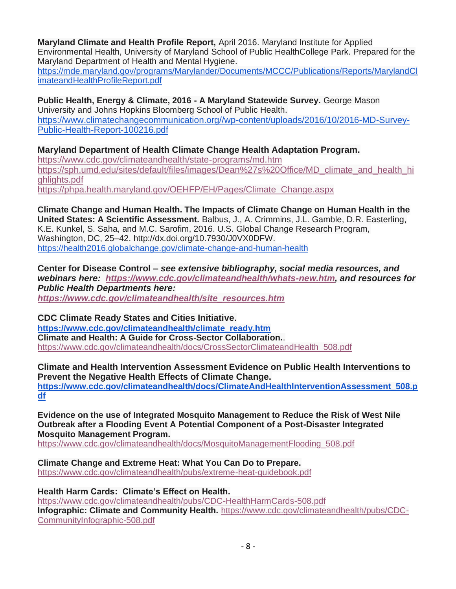**Maryland Climate and Health Profile Report,** April 2016. Maryland Institute for Applied Environmental Health, University of Maryland School of Public HealthCollege Park. Prepared for the Maryland Department of Health and Mental Hygiene. [https://mde.maryland.gov/programs/Marylander/Documents/MCCC/Publications/Reports/MarylandCl](https://mde.maryland.gov/programs/Marylander/Documents/MCCC/Publications/Reports/MarylandClimateandHealthProfileReport.pdf)

**Public Health, Energy & Climate, 2016 - A Maryland Statewide Survey.** George Mason University and Johns Hopkins Bloomberg School of Public Health. [https://www.climatechangecommunication.org//wp-content/uploads/2016/10/2016-MD-Survey-](https://www.climatechangecommunication.org/wp-content/uploads/2016/10/2016-MD-Survey-Public-Health-Report-100216.pdf)[Public-Health-Report-100216.pdf](https://www.climatechangecommunication.org/wp-content/uploads/2016/10/2016-MD-Survey-Public-Health-Report-100216.pdf)

**Maryland Department of Health Climate Change Health Adaptation Program.** 

[imateandHealthProfileReport.pdf](https://mde.maryland.gov/programs/Marylander/Documents/MCCC/Publications/Reports/MarylandClimateandHealthProfileReport.pdf)

<https://www.cdc.gov/climateandhealth/state-programs/md.htm> [https://sph.umd.edu/sites/default/files/images/Dean%27s%20Office/MD\\_climate\\_and\\_health\\_hi](https://sph.umd.edu/sites/default/files/images/Dean%27s%20Office/MD_climate_and_health_highlights.pdf) [ghlights.pdf](https://sph.umd.edu/sites/default/files/images/Dean%27s%20Office/MD_climate_and_health_highlights.pdf) [https://phpa.health.maryland.gov/OEHFP/EH/Pages/Climate\\_Change.aspx](https://phpa.health.maryland.gov/OEHFP/EH/Pages/Climate_Change.aspx)

**Climate Change and Human Health. The Impacts of Climate Change on Human Health in the United States: A Scientific Assessment.** Balbus, J., A. Crimmins, J.L. Gamble, D.R. Easterling, K.E. Kunkel, S. Saha, and M.C. Sarofim, 2016. U.S. Global Change Research Program, Washington, DC, 25–42. [http://dx.doi.org/10.7930/J0VX0DFW.](http://dx.doi.org/10.7930/J0VX0DFW) <https://health2016.globalchange.gov/climate-change-and-human-health>

**Center for Disease Control** *– see extensive bibliography, social media resources, and webinars here: [https://www.cdc.gov/climateandhealth/whats-new.htm,](https://www.cdc.gov/climateandhealth/whats-new.htm) and resources for Public Health Departments here: [https://www.cdc.gov/climateandhealth/site\\_resources.htm](https://www.cdc.gov/climateandhealth/site_resources.htm)*

**CDC Climate Ready States and Cities Initiative[.](https://www.cdc.gov/climateandhealth/climate_ready.htm) [https://www.cdc.gov/climateandhealth/climate\\_ready.htm](https://www.cdc.gov/climateandhealth/climate_ready.htm) Climate and Health: A Guide for Cross-Sector Collaboration.**. [https://www.cdc.gov/climateandhealth/docs/CrossSectorClimateandHealth\\_508.pdf](https://www.cdc.gov/climateandhealth/docs/CrossSectorClimateandHealth_508.pdf)

**Climate and Health Intervention Assessment Evidence on Public Health Interventions to Prevent the Negative Health Effects of Climate Change. [https://www.cdc.gov/climateandhealth/docs/ClimateAndHealthInterventionAssessment\\_508.p](https://www.cdc.gov/climateandhealth/docs/ClimateAndHealthInterventionAssessment_508.pdf) [df](https://www.cdc.gov/climateandhealth/docs/ClimateAndHealthInterventionAssessment_508.pdf)**

**Evidence on the use of Integrated Mosquito Management to Reduce the Risk of West Nile Outbreak after a Flooding Event A Potential Component of a Post-Disaster Integrated Mosquito Management Program.** 

[https://www.cdc.gov/climateandhealth/docs/MosquitoManagementFlooding\\_508.pdf](https://www.cdc.gov/climateandhealth/docs/MosquitoManagementFlooding_508.pdf)

**Climate Change and Extreme Heat: What You Can Do to Prepare.**  <https://www.cdc.gov/climateandhealth/pubs/extreme-heat-guidebook.pdf>

**[Health Harm Cards: Climate's Effect on Health.](https://www.cdc.gov/climateandhealth/pubs/CDC-HealthHarmCards-508.pdf)**  <https://www.cdc.gov/climateandhealth/pubs/CDC-HealthHarmCards-508.pdf> **Infographic: Climate and Community Health.** [https://www.cdc.gov/climateandhealth/pubs/CDC-](https://www.cdc.gov/climateandhealth/pubs/CDC-CommunityInfographic-508.pdf)[CommunityInfographic-508.pdf](https://www.cdc.gov/climateandhealth/pubs/CDC-CommunityInfographic-508.pdf)